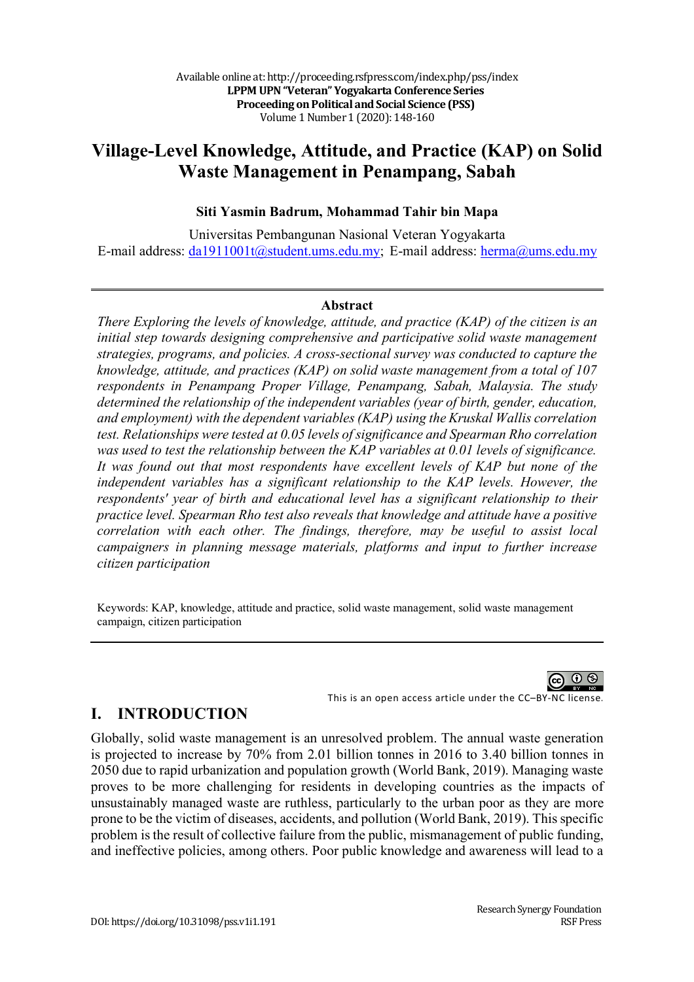# **Village-Level Knowledge, Attitude, and Practice (KAP) on Solid Waste Management in Penampang, Sabah**

### **Siti Yasmin Badrum, Mohammad Tahir bin Mapa**

Universitas Pembangunan Nasional Veteran Yogyakarta E-mail address: da1911001t@student.ums.edu.my; E-mail address: herma@ums.edu.my

#### **Abstract**

*There Exploring the levels of knowledge, attitude, and practice (KAP) of the citizen is an initial step towards designing comprehensive and participative solid waste management strategies, programs, and policies. A cross-sectional survey was conducted to capture the knowledge, attitude, and practices (KAP) on solid waste management from a total of 107 respondents in Penampang Proper Village, Penampang, Sabah, Malaysia. The study determined the relationship of the independent variables (year of birth, gender, education, and employment) with the dependent variables (KAP) using the Kruskal Wallis correlation test. Relationships were tested at 0.05 levels of significance and Spearman Rho correlation was used to test the relationship between the KAP variables at 0.01 levels of significance. It was found out that most respondents have excellent levels of KAP but none of the independent variables has a significant relationship to the KAP levels. However, the respondents' year of birth and educational level has a significant relationship to their practice level. Spearman Rho test also reveals that knowledge and attitude have a positive correlation with each other. The findings, therefore, may be useful to assist local campaigners in planning message materials, platforms and input to further increase citizen participation*

Keywords: KAP, knowledge, attitude and practice, solid waste management, solid waste management campaign, citizen participation



## **I. INTRODUCTION**

Globally, solid waste management is an unresolved problem. The annual waste generation is projected to increase by 70% from 2.01 billion tonnes in 2016 to 3.40 billion tonnes in 2050 due to rapid urbanization and population growth (World Bank, 2019). Managing waste proves to be more challenging for residents in developing countries as the impacts of unsustainably managed waste are ruthless, particularly to the urban poor as they are more prone to be the victim of diseases, accidents, and pollution (World Bank, 2019). This specific problem is the result of collective failure from the public, mismanagement of public funding, and ineffective policies, among others. Poor public knowledge and awareness will lead to a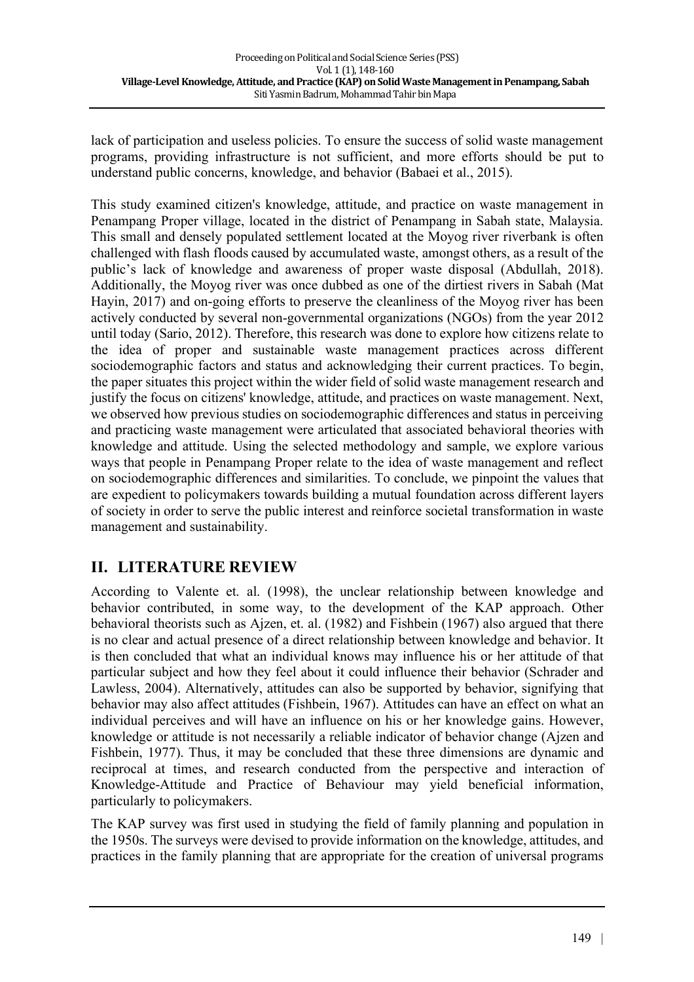lack of participation and useless policies. To ensure the success of solid waste management programs, providing infrastructure is not sufficient, and more efforts should be put to understand public concerns, knowledge, and behavior (Babaei et al., 2015).

This study examined citizen's knowledge, attitude, and practice on waste management in Penampang Proper village, located in the district of Penampang in Sabah state, Malaysia. This small and densely populated settlement located at the Moyog river riverbank is often challenged with flash floods caused by accumulated waste, amongst others, as a result of the public's lack of knowledge and awareness of proper waste disposal (Abdullah, 2018). Additionally, the Moyog river was once dubbed as one of the dirtiest rivers in Sabah (Mat Hayin, 2017) and on-going efforts to preserve the cleanliness of the Moyog river has been actively conducted by several non-governmental organizations (NGOs) from the year 2012 until today (Sario, 2012). Therefore, this research was done to explore how citizens relate to the idea of proper and sustainable waste management practices across different sociodemographic factors and status and acknowledging their current practices. To begin, the paper situates this project within the wider field of solid waste management research and justify the focus on citizens' knowledge, attitude, and practices on waste management. Next, we observed how previous studies on sociodemographic differences and status in perceiving and practicing waste management were articulated that associated behavioral theories with knowledge and attitude. Using the selected methodology and sample, we explore various ways that people in Penampang Proper relate to the idea of waste management and reflect on sociodemographic differences and similarities. To conclude, we pinpoint the values that are expedient to policymakers towards building a mutual foundation across different layers of society in order to serve the public interest and reinforce societal transformation in waste management and sustainability.

## **II. LITERATURE REVIEW**

According to Valente et. al. (1998), the unclear relationship between knowledge and behavior contributed, in some way, to the development of the KAP approach. Other behavioral theorists such as Ajzen, et. al. (1982) and Fishbein (1967) also argued that there is no clear and actual presence of a direct relationship between knowledge and behavior. It is then concluded that what an individual knows may influence his or her attitude of that particular subject and how they feel about it could influence their behavior (Schrader and Lawless, 2004). Alternatively, attitudes can also be supported by behavior, signifying that behavior may also affect attitudes (Fishbein, 1967). Attitudes can have an effect on what an individual perceives and will have an influence on his or her knowledge gains. However, knowledge or attitude is not necessarily a reliable indicator of behavior change (Ajzen and Fishbein, 1977). Thus, it may be concluded that these three dimensions are dynamic and reciprocal at times, and research conducted from the perspective and interaction of Knowledge-Attitude and Practice of Behaviour may yield beneficial information, particularly to policymakers.

The KAP survey was first used in studying the field of family planning and population in the 1950s. The surveys were devised to provide information on the knowledge, attitudes, and practices in the family planning that are appropriate for the creation of universal programs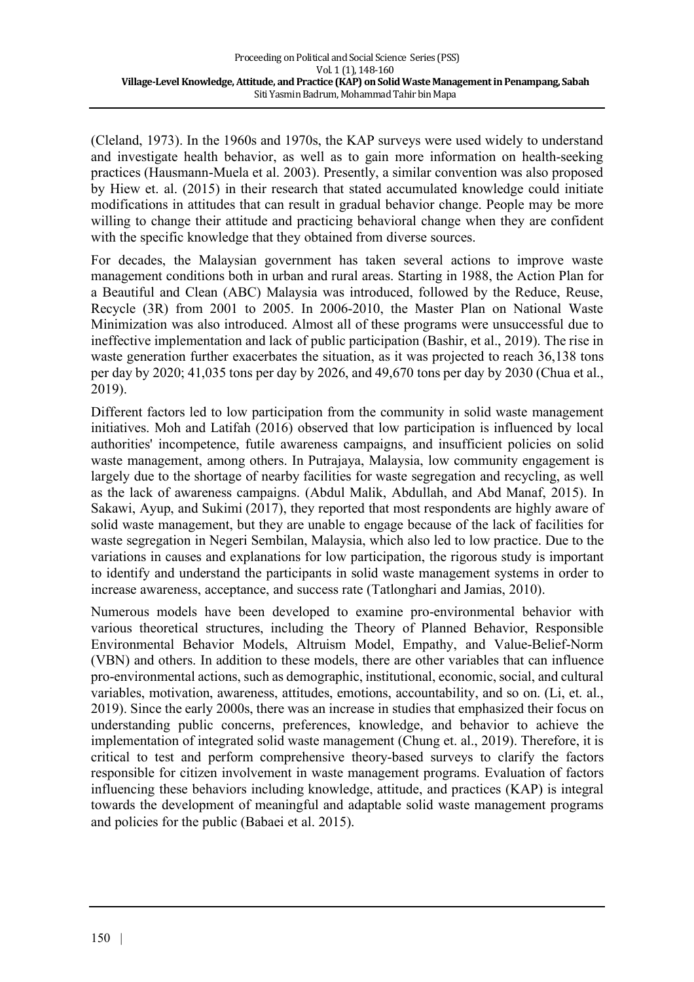(Cleland, 1973). In the 1960s and 1970s, the KAP surveys were used widely to understand and investigate health behavior, as well as to gain more information on health-seeking practices (Hausmann-Muela et al. 2003). Presently, a similar convention was also proposed by Hiew et. al. (2015) in their research that stated accumulated knowledge could initiate modifications in attitudes that can result in gradual behavior change. People may be more willing to change their attitude and practicing behavioral change when they are confident with the specific knowledge that they obtained from diverse sources.

For decades, the Malaysian government has taken several actions to improve waste management conditions both in urban and rural areas. Starting in 1988, the Action Plan for a Beautiful and Clean (ABC) Malaysia was introduced, followed by the Reduce, Reuse, Recycle (3R) from 2001 to 2005. In 2006-2010, the Master Plan on National Waste Minimization was also introduced. Almost all of these programs were unsuccessful due to ineffective implementation and lack of public participation (Bashir, et al., 2019). The rise in waste generation further exacerbates the situation, as it was projected to reach 36,138 tons per day by 2020; 41,035 tons per day by 2026, and 49,670 tons per day by 2030 (Chua et al., 2019).

Different factors led to low participation from the community in solid waste management initiatives. Moh and Latifah (2016) observed that low participation is influenced by local authorities' incompetence, futile awareness campaigns, and insufficient policies on solid waste management, among others. In Putrajaya, Malaysia, low community engagement is largely due to the shortage of nearby facilities for waste segregation and recycling, as well as the lack of awareness campaigns. (Abdul Malik, Abdullah, and Abd Manaf, 2015). In Sakawi, Ayup, and Sukimi (2017), they reported that most respondents are highly aware of solid waste management, but they are unable to engage because of the lack of facilities for waste segregation in Negeri Sembilan, Malaysia, which also led to low practice. Due to the variations in causes and explanations for low participation, the rigorous study is important to identify and understand the participants in solid waste management systems in order to increase awareness, acceptance, and success rate (Tatlonghari and Jamias, 2010).

Numerous models have been developed to examine pro-environmental behavior with various theoretical structures, including the Theory of Planned Behavior, Responsible Environmental Behavior Models, Altruism Model, Empathy, and Value-Belief-Norm (VBN) and others. In addition to these models, there are other variables that can influence pro-environmental actions, such as demographic, institutional, economic, social, and cultural variables, motivation, awareness, attitudes, emotions, accountability, and so on. (Li, et. al., 2019). Since the early 2000s, there was an increase in studies that emphasized their focus on understanding public concerns, preferences, knowledge, and behavior to achieve the implementation of integrated solid waste management (Chung et. al., 2019). Therefore, it is critical to test and perform comprehensive theory-based surveys to clarify the factors responsible for citizen involvement in waste management programs. Evaluation of factors influencing these behaviors including knowledge, attitude, and practices (KAP) is integral towards the development of meaningful and adaptable solid waste management programs and policies for the public (Babaei et al. 2015).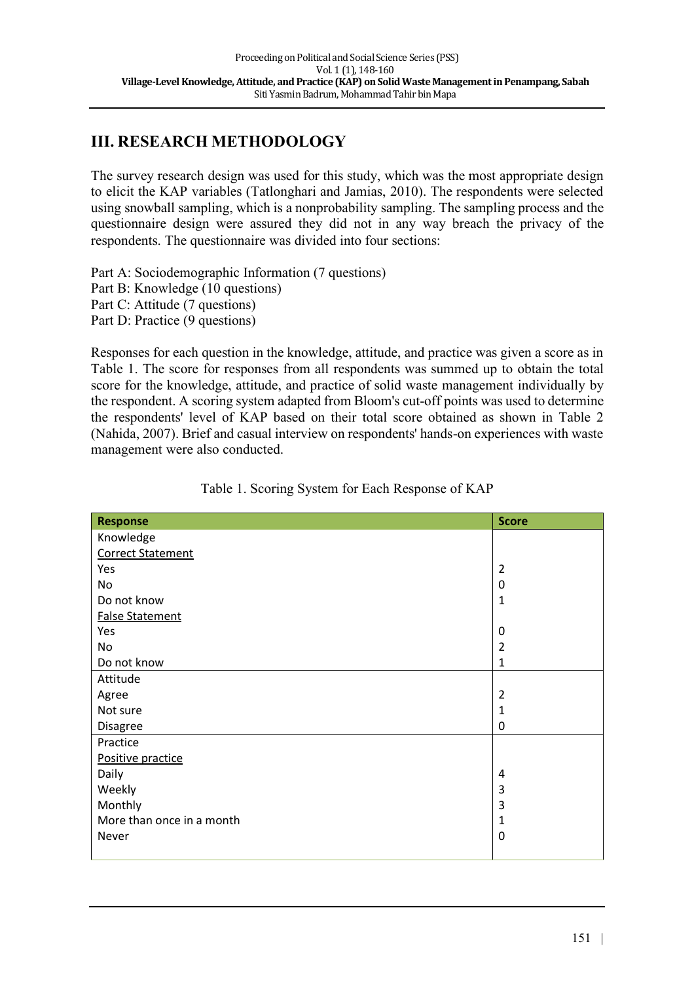## **III. RESEARCH METHODOLOGY**

The survey research design was used for this study, which was the most appropriate design to elicit the KAP variables (Tatlonghari and Jamias, 2010). The respondents were selected using snowball sampling, which is a nonprobability sampling. The sampling process and the questionnaire design were assured they did not in any way breach the privacy of the respondents. The questionnaire was divided into four sections:

Part A: Sociodemographic Information (7 questions) Part B: Knowledge (10 questions) Part C: Attitude (7 questions) Part D: Practice (9 questions)

Responses for each question in the knowledge, attitude, and practice was given a score as in Table 1. The score for responses from all respondents was summed up to obtain the total score for the knowledge, attitude, and practice of solid waste management individually by the respondent. A scoring system adapted from Bloom's cut-off points was used to determine the respondents' level of KAP based on their total score obtained as shown in Table 2 (Nahida, 2007). Brief and casual interview on respondents' hands-on experiences with waste management were also conducted.

| I<br>Response             | <b>Score</b>   |
|---------------------------|----------------|
| Knowledge                 |                |
| <b>Correct Statement</b>  |                |
| Yes                       | $\overline{2}$ |
| No                        | 0              |
| Do not know               | $\mathbf{1}$   |
| <b>False Statement</b>    |                |
| Yes                       | 0              |
| No                        | $\overline{2}$ |
| Do not know               | $\mathbf{1}$   |
| Attitude                  |                |
| Agree                     | $\overline{2}$ |
| Not sure                  | $\mathbf 1$    |
| Disagree                  | 0              |
| Practice                  |                |
| Positive practice         |                |
| Daily                     | 4              |
| Weekly                    | 3              |
| Monthly                   | 3              |
| More than once in a month | $\mathbf 1$    |
| Never                     | 0              |
|                           |                |

Table 1. Scoring System for Each Response of KAP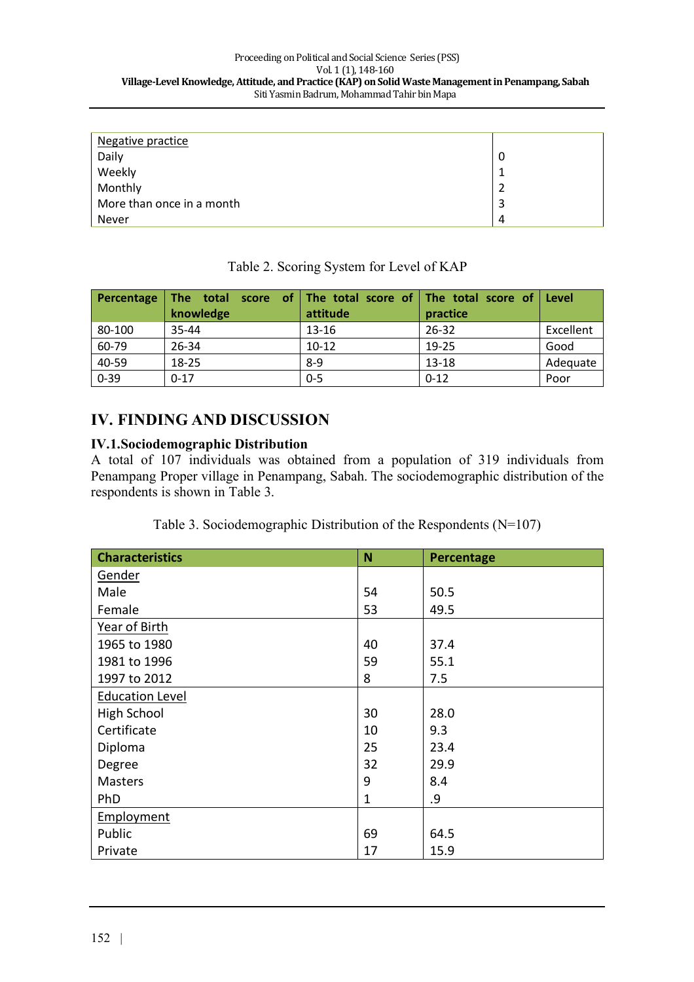| Negative practice         |   |
|---------------------------|---|
| Daily                     | O |
| Weekly                    |   |
| Monthly                   |   |
| More than once in a month | 3 |
| Never                     | 4 |

| Percentage | The total score of   The total score of   The total score of  <br>knowledge | attitude  | practice  | Level     |
|------------|-----------------------------------------------------------------------------|-----------|-----------|-----------|
| 80-100     | 35-44                                                                       | $13 - 16$ | $26 - 32$ | Excellent |
| 60-79      | 26-34                                                                       | $10-12$   | 19-25     | Good      |
| 40-59      | 18-25                                                                       | $8-9$     | 13-18     | Adequate  |
| $0 - 39$   | $0 - 17$                                                                    | $0 - 5$   | $0 - 12$  | Poor      |

### Table 2. Scoring System for Level of KAP

## **IV. FINDING AND DISCUSSION**

#### **IV.1.Sociodemographic Distribution**

A total of 107 individuals was obtained from a population of 319 individuals from Penampang Proper village in Penampang, Sabah. The sociodemographic distribution of the respondents is shown in Table 3.

| Table 3. Sociodemographic Distribution of the Respondents $(N=107)$ |  |  |  |
|---------------------------------------------------------------------|--|--|--|
|                                                                     |  |  |  |

| <b>Characteristics</b> | N            | Percentage |
|------------------------|--------------|------------|
| Gender                 |              |            |
| Male                   | 54           | 50.5       |
| Female                 | 53           | 49.5       |
| Year of Birth          |              |            |
| 1965 to 1980           | 40           | 37.4       |
| 1981 to 1996           | 59           | 55.1       |
| 1997 to 2012           | 8            | 7.5        |
| <b>Education Level</b> |              |            |
| <b>High School</b>     | 30           | 28.0       |
| Certificate            | 10           | 9.3        |
| Diploma                | 25           | 23.4       |
| Degree                 | 32           | 29.9       |
| <b>Masters</b>         | 9            | 8.4        |
| PhD                    | $\mathbf{1}$ | .9         |
| Employment             |              |            |
| Public                 | 69           | 64.5       |
| Private                | 17           | 15.9       |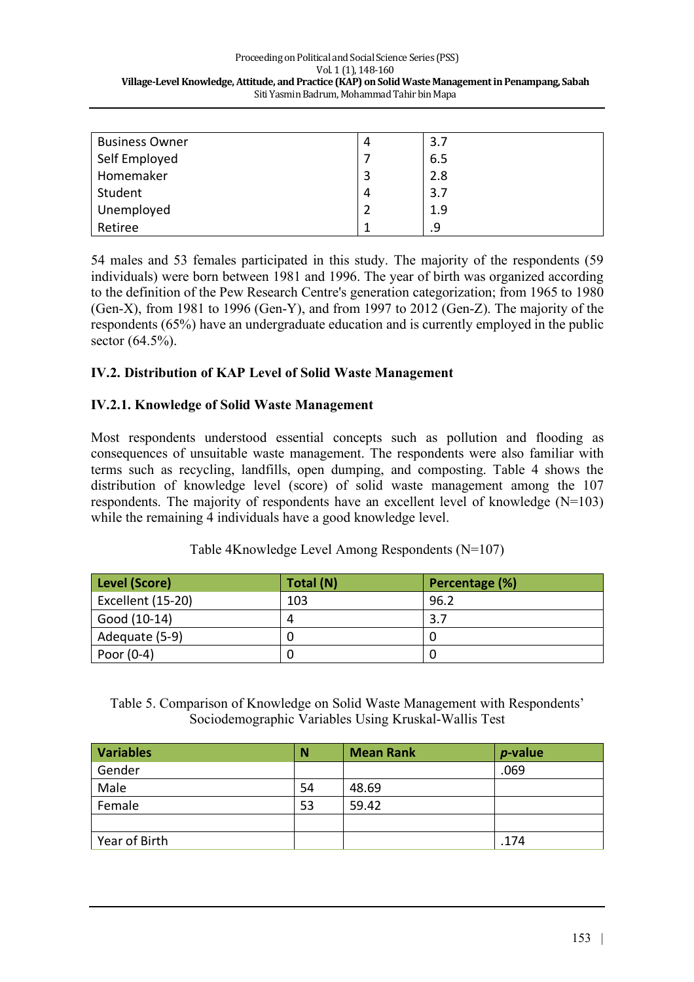| <b>Business Owner</b> | 4 | 3.7 |
|-----------------------|---|-----|
|                       |   | 6.5 |
| Self Employed         |   |     |
| Homemaker             |   | 2.8 |
| Student               | 4 | 3.7 |
| Unemployed            |   | 1.9 |
| Retiree               |   | .9  |

54 males and 53 females participated in this study. The majority of the respondents (59 individuals) were born between 1981 and 1996. The year of birth was organized according to the definition of the Pew Research Centre's generation categorization; from 1965 to 1980 (Gen-X), from 1981 to 1996 (Gen-Y), and from 1997 to 2012 (Gen-Z). The majority of the respondents (65%) have an undergraduate education and is currently employed in the public sector (64.5%).

### **IV.2. Distribution of KAP Level of Solid Waste Management**

#### **IV.2.1. Knowledge of Solid Waste Management**

Most respondents understood essential concepts such as pollution and flooding as consequences of unsuitable waste management. The respondents were also familiar with terms such as recycling, landfills, open dumping, and composting. Table 4 shows the distribution of knowledge level (score) of solid waste management among the 107 respondents. The majority of respondents have an excellent level of knowledge (N=103) while the remaining 4 individuals have a good knowledge level.

| Level (Score)     | Total (N) | Percentage (%) |
|-------------------|-----------|----------------|
| Excellent (15-20) | 103       | 96.2           |
| Good (10-14)      | Д         | 3.7            |
| Adequate (5-9)    |           |                |
| Poor $(0-4)$      |           |                |

Table 4Knowledge Level Among Respondents (N=107)

Table 5. Comparison of Knowledge on Solid Waste Management with Respondents' Sociodemographic Variables Using Kruskal-Wallis Test

| <b>Variables</b> | N  | <b>Mean Rank</b> | $p$ -value |
|------------------|----|------------------|------------|
| Gender           |    |                  | .069       |
| Male             | 54 | 48.69            |            |
| Female           | 53 | 59.42            |            |
|                  |    |                  |            |
| Year of Birth    |    |                  | .174       |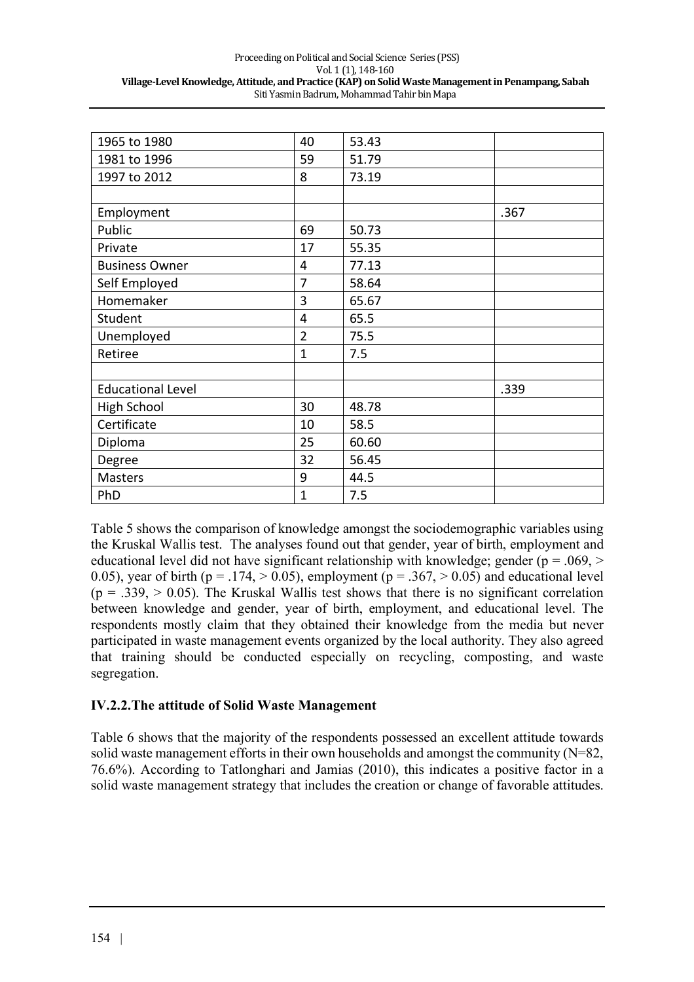| 1965 to 1980             | 40             | 53.43 |      |
|--------------------------|----------------|-------|------|
| 1981 to 1996             | 59             | 51.79 |      |
| 1997 to 2012             | 8              | 73.19 |      |
|                          |                |       |      |
| Employment               |                |       | .367 |
| Public                   | 69             | 50.73 |      |
| Private                  | 17             | 55.35 |      |
| <b>Business Owner</b>    | 4              | 77.13 |      |
| Self Employed            | 7              | 58.64 |      |
| Homemaker                | 3              | 65.67 |      |
| Student                  | 4              | 65.5  |      |
| Unemployed               | $\overline{2}$ | 75.5  |      |
| Retiree                  | $\overline{1}$ | 7.5   |      |
|                          |                |       |      |
| <b>Educational Level</b> |                |       | .339 |
| High School              | 30             | 48.78 |      |
| Certificate              | 10             | 58.5  |      |
| Diploma                  | 25             | 60.60 |      |
| Degree                   | 32             | 56.45 |      |
| <b>Masters</b>           | 9              | 44.5  |      |
| PhD                      | 1              | 7.5   |      |
|                          |                |       |      |

Table 5 shows the comparison of knowledge amongst the sociodemographic variables using the Kruskal Wallis test. The analyses found out that gender, year of birth, employment and educational level did not have significant relationship with knowledge; gender ( $p = .069$ ,  $>$ 0.05), year of birth ( $p = .174$ ,  $> 0.05$ ), employment ( $p = .367$ ,  $> 0.05$ ) and educational level  $(p = .339, > 0.05)$ . The Kruskal Wallis test shows that there is no significant correlation between knowledge and gender, year of birth, employment, and educational level. The respondents mostly claim that they obtained their knowledge from the media but never participated in waste management events organized by the local authority. They also agreed that training should be conducted especially on recycling, composting, and waste segregation.

#### **IV.2.2.The attitude of Solid Waste Management**

Table 6 shows that the majority of the respondents possessed an excellent attitude towards solid waste management efforts in their own households and amongst the community (N=82, 76.6%). According to Tatlonghari and Jamias (2010), this indicates a positive factor in a solid waste management strategy that includes the creation or change of favorable attitudes.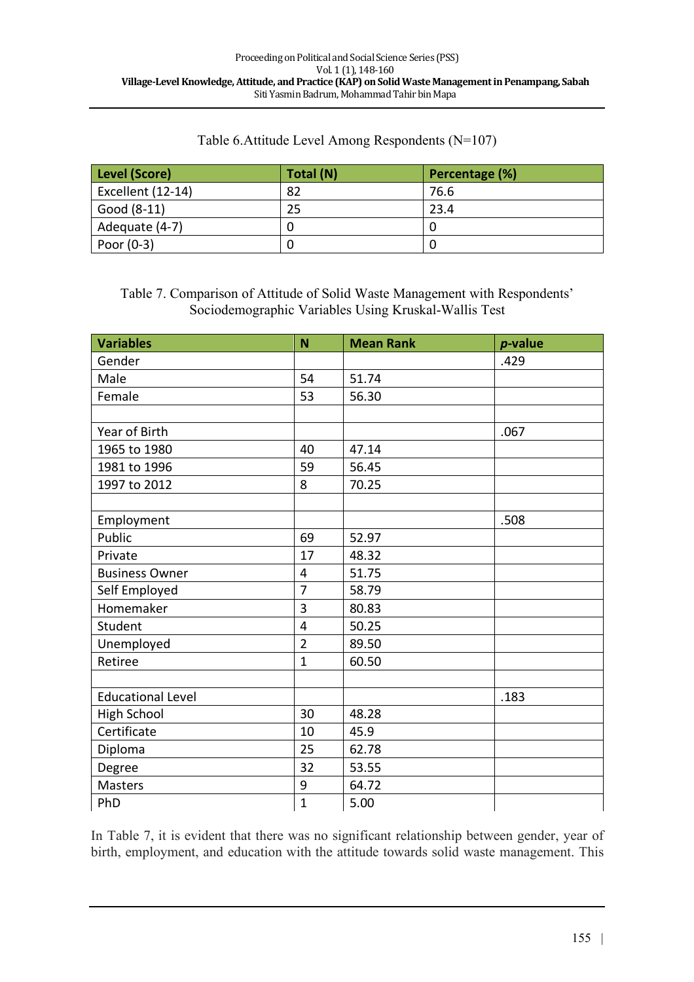| Table 6. Attitude Level Among Respondents (N=107) |  |
|---------------------------------------------------|--|
|---------------------------------------------------|--|

| Level (Score)     | Total (N) | Percentage (%) |
|-------------------|-----------|----------------|
| Excellent (12-14) | 82        | 76.6           |
| Good (8-11)       | 25        | 23.4           |
| Adequate (4-7)    |           |                |
| Poor $(0-3)$      |           |                |

Table 7. Comparison of Attitude of Solid Waste Management with Respondents' Sociodemographic Variables Using Kruskal-Wallis Test

| <b>Variables</b>         | N              | <b>Mean Rank</b> | $p$ -value |
|--------------------------|----------------|------------------|------------|
| Gender                   |                |                  | .429       |
| Male                     | 54             | 51.74            |            |
| Female                   | 53             | 56.30            |            |
|                          |                |                  |            |
| Year of Birth            |                |                  | .067       |
| 1965 to 1980             | 40             | 47.14            |            |
| 1981 to 1996             | 59             | 56.45            |            |
| 1997 to 2012             | 8              | 70.25            |            |
|                          |                |                  |            |
| Employment               |                |                  | .508       |
| Public                   | 69             | 52.97            |            |
| Private                  | 17             | 48.32            |            |
| <b>Business Owner</b>    | 4              | 51.75            |            |
| Self Employed            | $\overline{7}$ | 58.79            |            |
| Homemaker                | 3              | 80.83            |            |
| Student                  | 4              | 50.25            |            |
| Unemployed               | $\overline{2}$ | 89.50            |            |
| Retiree                  | $\mathbf{1}$   | 60.50            |            |
|                          |                |                  |            |
| <b>Educational Level</b> |                |                  | .183       |
| <b>High School</b>       | 30             | 48.28            |            |
| Certificate              | 10             | 45.9             |            |
| Diploma                  | 25             | 62.78            |            |
| Degree                   | 32             | 53.55            |            |
| Masters                  | 9              | 64.72            |            |
| PhD                      | 1              | 5.00             |            |

In Table 7, it is evident that there was no significant relationship between gender, year of birth, employment, and education with the attitude towards solid waste management. This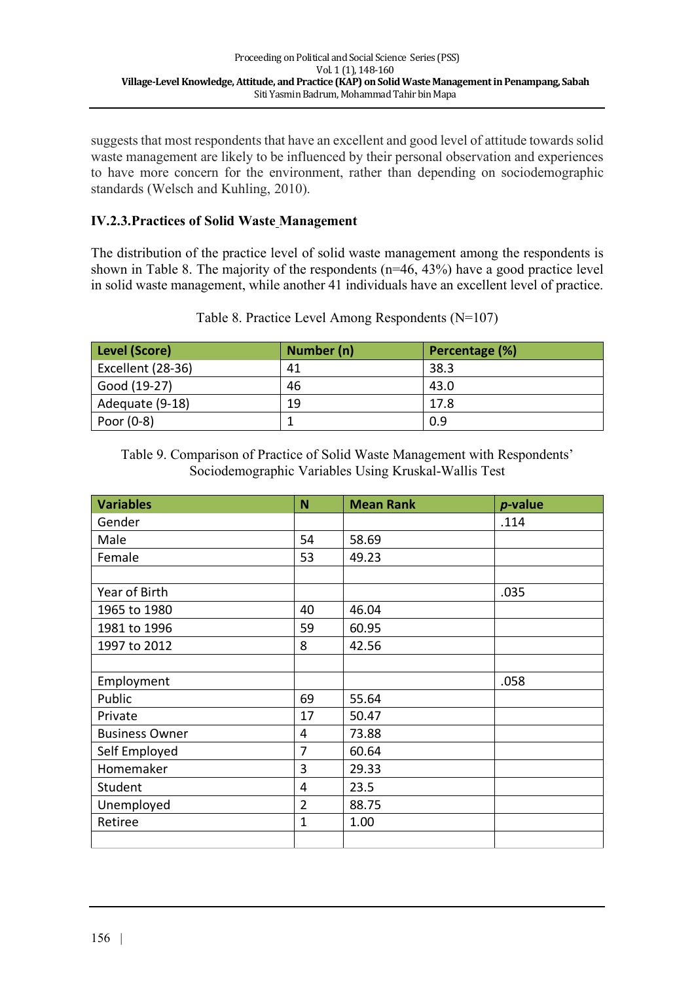suggests that most respondents that have an excellent and good level of attitude towards solid waste management are likely to be influenced by their personal observation and experiences to have more concern for the environment, rather than depending on sociodemographic standards (Welsch and Kuhling, 2010).

### **IV.2.3.Practices of Solid Waste Management**

The distribution of the practice level of solid waste management among the respondents is shown in Table 8. The majority of the respondents (n=46, 43%) have a good practice level in solid waste management, while another 41 individuals have an excellent level of practice.

| Level (Score)     | Number (n) | Percentage (%) |
|-------------------|------------|----------------|
| Excellent (28-36) | 41         | 38.3           |
| Good (19-27)      | 46         | 43.0           |
| Adequate (9-18)   | 19         | 17.8           |
| Poor $(0-8)$      |            | 0.9            |

Table 8. Practice Level Among Respondents (N=107)

Table 9. Comparison of Practice of Solid Waste Management with Respondents' Sociodemographic Variables Using Kruskal-Wallis Test

| <b>Variables</b>      | N              | <b>Mean Rank</b> | <i>p</i> -value |
|-----------------------|----------------|------------------|-----------------|
| Gender                |                |                  | .114            |
| Male                  | 54             | 58.69            |                 |
| Female                | 53             | 49.23            |                 |
|                       |                |                  |                 |
| Year of Birth         |                |                  | .035            |
| 1965 to 1980          | 40             | 46.04            |                 |
| 1981 to 1996          | 59             | 60.95            |                 |
| 1997 to 2012          | 8              | 42.56            |                 |
|                       |                |                  |                 |
| Employment            |                |                  | .058            |
| Public                | 69             | 55.64            |                 |
| Private               | 17             | 50.47            |                 |
| <b>Business Owner</b> | 4              | 73.88            |                 |
| Self Employed         | 7              | 60.64            |                 |
| Homemaker             | 3              | 29.33            |                 |
| Student               | 4              | 23.5             |                 |
| Unemployed            | $\overline{2}$ | 88.75            |                 |
| Retiree               | $\mathbf{1}$   | 1.00             |                 |
|                       |                |                  |                 |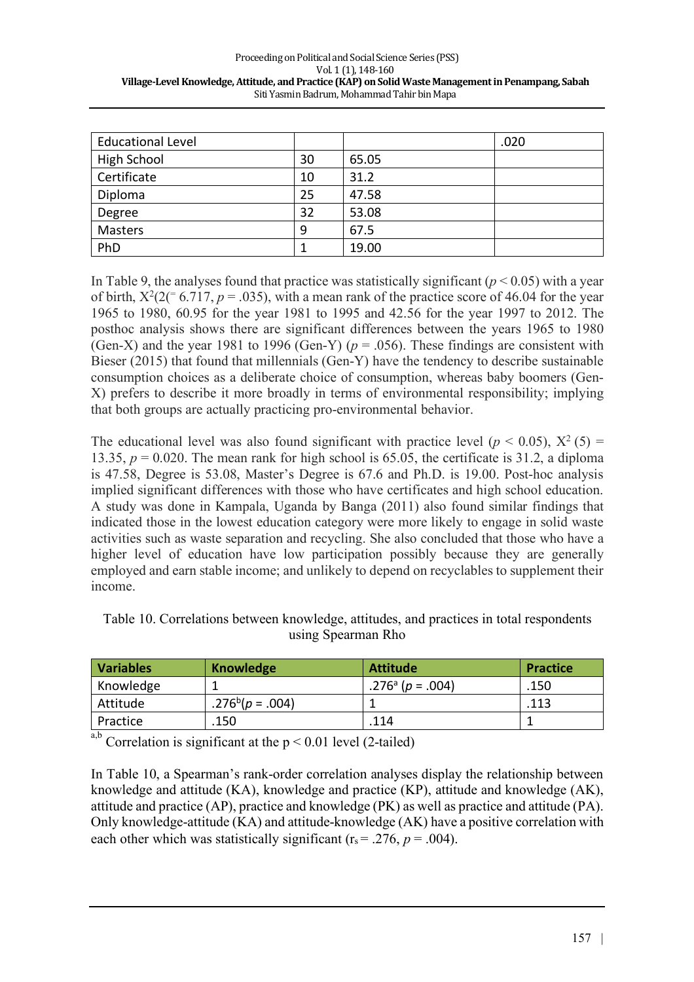| <b>Educational Level</b> |    |       | .020 |
|--------------------------|----|-------|------|
| <b>High School</b>       | 30 | 65.05 |      |
| Certificate              | 10 | 31.2  |      |
| Diploma                  | 25 | 47.58 |      |
| Degree                   | 32 | 53.08 |      |
| <b>Masters</b>           | 9  | 67.5  |      |
| PhD                      |    | 19.00 |      |

In Table 9, the analyses found that practice was statistically significant ( $p < 0.05$ ) with a year of birth,  $X^2(2^2 \mid 6.717, p = .035)$ , with a mean rank of the practice score of 46.04 for the year 1965 to 1980, 60.95 for the year 1981 to 1995 and 42.56 for the year 1997 to 2012. The posthoc analysis shows there are significant differences between the years 1965 to 1980 (Gen-X) and the year 1981 to 1996 (Gen-Y) ( $p = .056$ ). These findings are consistent with Bieser (2015) that found that millennials (Gen-Y) have the tendency to describe sustainable consumption choices as a deliberate choice of consumption, whereas baby boomers (Gen-X) prefers to describe it more broadly in terms of environmental responsibility; implying that both groups are actually practicing pro-environmental behavior.

The educational level was also found significant with practice level ( $p < 0.05$ ),  $X^2(5) =$ 13.35,  $p = 0.020$ . The mean rank for high school is 65.05, the certificate is 31.2, a diploma is 47.58, Degree is 53.08, Master's Degree is 67.6 and Ph.D. is 19.00. Post-hoc analysis implied significant differences with those who have certificates and high school education. A study was done in Kampala, Uganda by Banga (2011) also found similar findings that indicated those in the lowest education category were more likely to engage in solid waste activities such as waste separation and recycling. She also concluded that those who have a higher level of education have low participation possibly because they are generally employed and earn stable income; and unlikely to depend on recyclables to supplement their income.

| <b>Variables</b> | Knowledge       | <b>Attitude</b>              | <b>Practice</b> |
|------------------|-----------------|------------------------------|-----------------|
| Knowledge        |                 | .276 <sup>a</sup> (p = .004) | .150            |
| Attitude         | $.276b(p=.004)$ |                              | .113            |
| Practice         | 150             | 114                          |                 |

Table 10. Correlations between knowledge, attitudes, and practices in total respondents using Spearman Rho

Correlation is significant at the  $p < 0.01$  level (2-tailed)

In Table 10, a Spearman's rank-order correlation analyses display the relationship between knowledge and attitude (KA), knowledge and practice (KP), attitude and knowledge (AK), attitude and practice (AP), practice and knowledge (PK) as well as practice and attitude (PA). Only knowledge-attitude (KA) and attitude-knowledge (AK) have a positive correlation with each other which was statistically significant ( $r_s$  = .276,  $p$  = .004).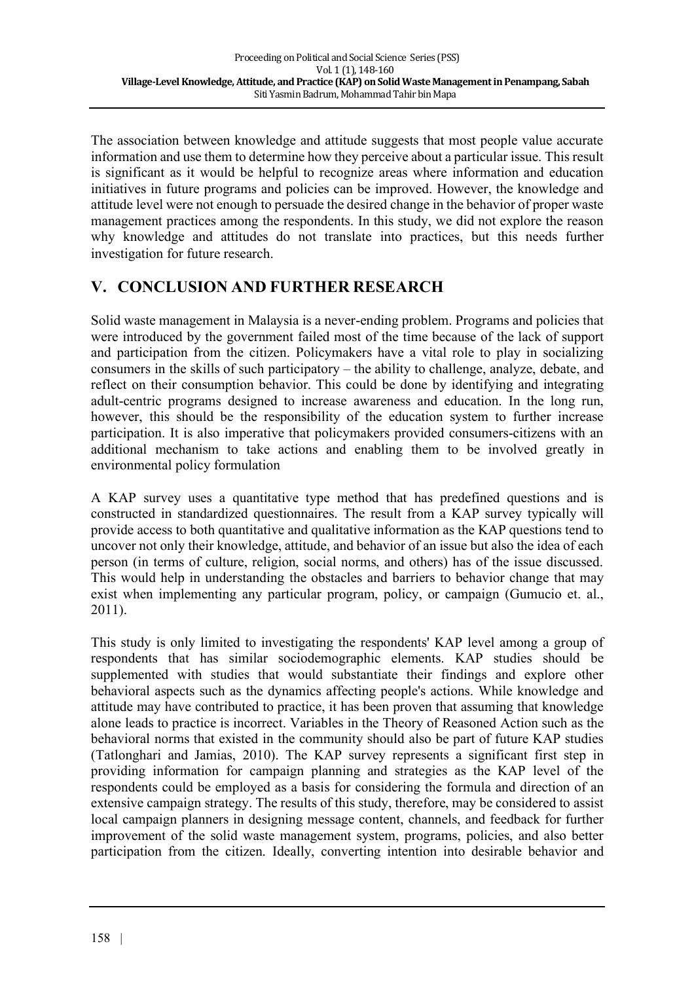The association between knowledge and attitude suggests that most people value accurate information and use them to determine how they perceive about a particular issue. This result is significant as it would be helpful to recognize areas where information and education initiatives in future programs and policies can be improved. However, the knowledge and attitude level were not enough to persuade the desired change in the behavior of proper waste management practices among the respondents. In this study, we did not explore the reason why knowledge and attitudes do not translate into practices, but this needs further investigation for future research.

## **V. CONCLUSION AND FURTHER RESEARCH**

Solid waste management in Malaysia is a never-ending problem. Programs and policies that were introduced by the government failed most of the time because of the lack of support and participation from the citizen. Policymakers have a vital role to play in socializing consumers in the skills of such participatory – the ability to challenge, analyze, debate, and reflect on their consumption behavior. This could be done by identifying and integrating adult-centric programs designed to increase awareness and education. In the long run, however, this should be the responsibility of the education system to further increase participation. It is also imperative that policymakers provided consumers-citizens with an additional mechanism to take actions and enabling them to be involved greatly in environmental policy formulation

A KAP survey uses a quantitative type method that has predefined questions and is constructed in standardized questionnaires. The result from a KAP survey typically will provide access to both quantitative and qualitative information as the KAP questions tend to uncover not only their knowledge, attitude, and behavior of an issue but also the idea of each person (in terms of culture, religion, social norms, and others) has of the issue discussed. This would help in understanding the obstacles and barriers to behavior change that may exist when implementing any particular program, policy, or campaign (Gumucio et. al., 2011).

This study is only limited to investigating the respondents' KAP level among a group of respondents that has similar sociodemographic elements. KAP studies should be supplemented with studies that would substantiate their findings and explore other behavioral aspects such as the dynamics affecting people's actions. While knowledge and attitude may have contributed to practice, it has been proven that assuming that knowledge alone leads to practice is incorrect. Variables in the Theory of Reasoned Action such as the behavioral norms that existed in the community should also be part of future KAP studies (Tatlonghari and Jamias, 2010). The KAP survey represents a significant first step in providing information for campaign planning and strategies as the KAP level of the respondents could be employed as a basis for considering the formula and direction of an extensive campaign strategy. The results of this study, therefore, may be considered to assist local campaign planners in designing message content, channels, and feedback for further improvement of the solid waste management system, programs, policies, and also better participation from the citizen. Ideally, converting intention into desirable behavior and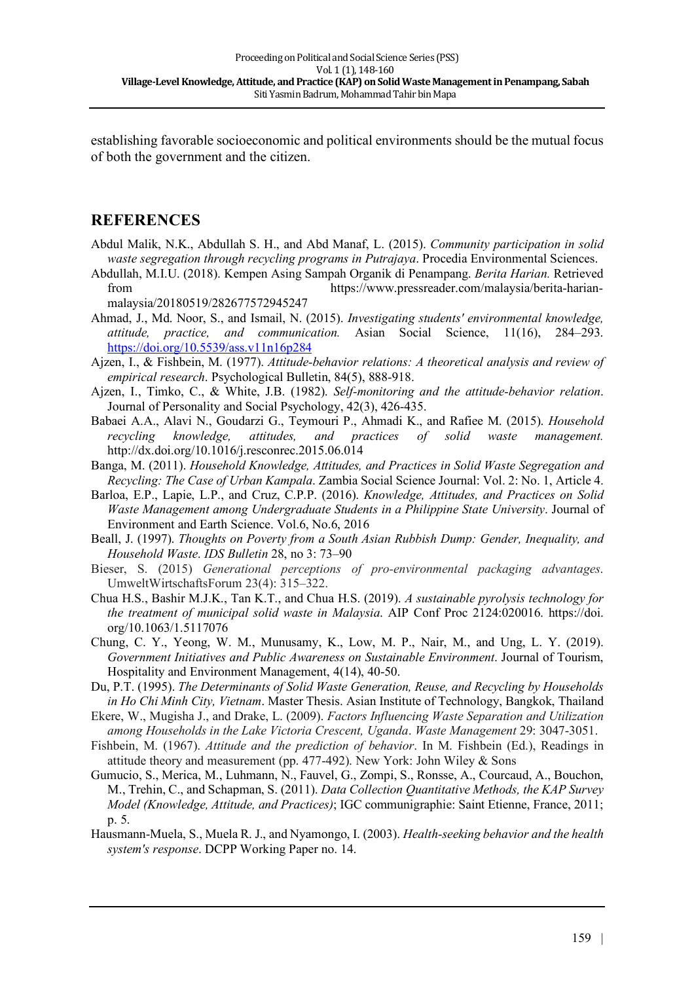establishing favorable socioeconomic and political environments should be the mutual focus of both the government and the citizen.

## **REFERENCES**

- Abdul Malik, N.K., Abdullah S. H., and Abd Manaf, L. (2015). *Community participation in solid waste segregation through recycling programs in Putrajaya*. Procedia Environmental Sciences.
- Abdullah, M.I.U. (2018). Kempen Asing Sampah Organik di Penampang. *Berita Harian.* Retrieved from https://www.pressreader.com/malaysia/berita-harianmalaysia/20180519/282677572945247
- Ahmad, J., Md. Noor, S., and Ismail, N. (2015). *Investigating students' environmental knowledge, attitude, practice, and communication.* Asian Social Science, 11(16), 284–293. https://doi.org/10.5539/ass.v11n16p284
- Ajzen, I., & Fishbein, M. (1977). *Attitude-behavior relations: A theoretical analysis and review of empirical research*. Psychological Bulletin, 84(5), 888-918.
- Ajzen, I., Timko, C., & White, J.B. (1982). *Self-monitoring and the attitude-behavior relation*. Journal of Personality and Social Psychology, 42(3), 426-435.
- Babaei A.A., Alavi N., Goudarzi G., Teymouri P., Ahmadi K., and Rafiee M. (2015). *Household recycling knowledge, attitudes, and practices of solid waste management.* http://dx.doi.org/10.1016/j.resconrec.2015.06.014
- Banga, M. (2011). *Household Knowledge, Attitudes, and Practices in Solid Waste Segregation and Recycling: The Case of Urban Kampala*. Zambia Social Science Journal: Vol. 2: No. 1, Article 4.
- Barloa, E.P., Lapie, L.P., and Cruz, C.P.P. (2016). *Knowledge, Attitudes, and Practices on Solid Waste Management among Undergraduate Students in a Philippine State University*. Journal of Environment and Earth Science. Vol.6, No.6, 2016
- Beall, J. (1997). *Thoughts on Poverty from a South Asian Rubbish Dump: Gender, Inequality, and Household Waste*. *IDS Bulletin* 28, no 3: 73–90
- Bieser, S. (2015) *Generational perceptions of pro-environmental packaging advantages*. UmweltWirtschaftsForum 23(4): 315–322.
- Chua H.S., Bashir M.J.K., Tan K.T., and Chua H.S. (2019). *A sustainable pyrolysis technology for the treatment of municipal solid waste in Malaysia*. AIP Conf Proc 2124:020016. https://doi. org/10.1063/1.5117076
- Chung, C. Y., Yeong, W. M., Munusamy, K., Low, M. P., Nair, M., and Ung, L. Y. (2019). *Government Initiatives and Public Awareness on Sustainable Environment*. Journal of Tourism, Hospitality and Environment Management, 4(14), 40-50.
- Du, P.T. (1995). *The Determinants of Solid Waste Generation, Reuse, and Recycling by Households in Ho Chi Minh City, Vietnam*. Master Thesis. Asian Institute of Technology, Bangkok, Thailand
- Ekere, W., Mugisha J., and Drake, L. (2009). *Factors Influencing Waste Separation and Utilization among Households in the Lake Victoria Crescent, Uganda*. *Waste Management* 29: 3047-3051.
- Fishbein, M. (1967). *Attitude and the prediction of behavior*. In M. Fishbein (Ed.), Readings in attitude theory and measurement (pp. 477-492). New York: John Wiley & Sons
- Gumucio, S., Merica, M., Luhmann, N., Fauvel, G., Zompi, S., Ronsse, A., Courcaud, A., Bouchon, M., Trehin, C., and Schapman, S. (2011). *Data Collection Quantitative Methods, the KAP Survey Model (Knowledge, Attitude, and Practices)*; IGC communigraphie: Saint Etienne, France, 2011; p. 5.
- Hausmann-Muela, S., Muela R. J., and Nyamongo, I. (2003). *Health-seeking behavior and the health system's response*. DCPP Working Paper no. 14.